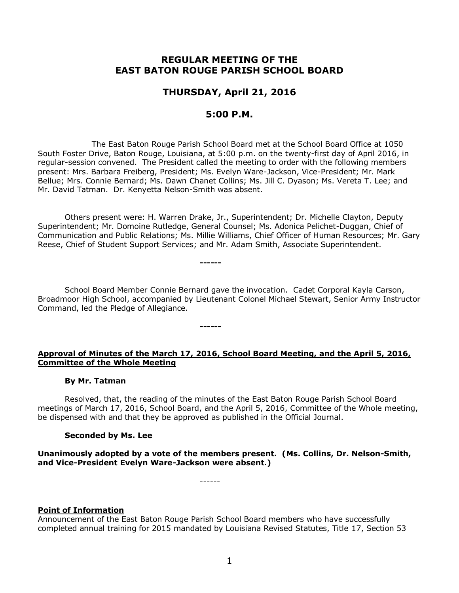# **REGULAR MEETING OF THE EAST BATON ROUGE PARISH SCHOOL BOARD**

# **THURSDAY, April 21, 2016**

## **5:00 P.M.**

The East Baton Rouge Parish School Board met at the School Board Office at 1050 South Foster Drive, Baton Rouge, Louisiana, at 5:00 p.m. on the twenty-first day of April 2016, in regular-session convened. The President called the meeting to order with the following members present: Mrs. Barbara Freiberg, President; Ms. Evelyn Ware-Jackson, Vice-President; Mr. Mark Bellue; Mrs. Connie Bernard; Ms. Dawn Chanet Collins; Ms. Jill C. Dyason; Ms. Vereta T. Lee; and Mr. David Tatman. Dr. Kenyetta Nelson-Smith was absent.

Others present were: H. Warren Drake, Jr., Superintendent; Dr. Michelle Clayton, Deputy Superintendent; Mr. Domoine Rutledge, General Counsel; Ms. Adonica Pelichet-Duggan, Chief of Communication and Public Relations; Ms. Millie Williams, Chief Officer of Human Resources; Mr. Gary Reese, Chief of Student Support Services; and Mr. Adam Smith, Associate Superintendent.

**------**

**------**

School Board Member Connie Bernard gave the invocation. Cadet Corporal Kayla Carson, Broadmoor High School, accompanied by Lieutenant Colonel Michael Stewart, Senior Army Instructor Command, led the Pledge of Allegiance.

#### **Approval of Minutes of the March 17, 2016, School Board Meeting, and the April 5, 2016, Committee of the Whole Meeting**

#### **By Mr. Tatman**

Resolved, that, the reading of the minutes of the East Baton Rouge Parish School Board meetings of March 17, 2016, School Board, and the April 5, 2016, Committee of the Whole meeting, be dispensed with and that they be approved as published in the Official Journal.

#### **Seconded by Ms. Lee**

**Unanimously adopted by a vote of the members present. (Ms. Collins, Dr. Nelson-Smith, and Vice-President Evelyn Ware-Jackson were absent.)**

------

#### **Point of Information**

Announcement of the East Baton Rouge Parish School Board members who have successfully completed annual training for 2015 mandated by Louisiana Revised Statutes, Title 17, Section 53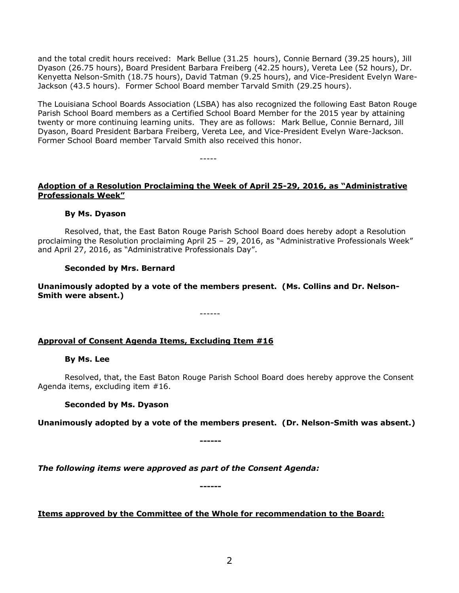and the total credit hours received: Mark Bellue (31.25 hours), Connie Bernard (39.25 hours), Jill Dyason (26.75 hours), Board President Barbara Freiberg (42.25 hours), Vereta Lee (52 hours), Dr. Kenyetta Nelson-Smith (18.75 hours), David Tatman (9.25 hours), and Vice-President Evelyn Ware-Jackson (43.5 hours). Former School Board member Tarvald Smith (29.25 hours).

The Louisiana School Boards Association (LSBA) has also recognized the following East Baton Rouge Parish School Board members as a Certified School Board Member for the 2015 year by attaining twenty or more continuing learning units. They are as follows: Mark Bellue, Connie Bernard, Jill Dyason, Board President Barbara Freiberg, Vereta Lee, and Vice-President Evelyn Ware-Jackson. Former School Board member Tarvald Smith also received this honor.

-----

# **Adoption of a Resolution Proclaiming the Week of April 25-29, 2016, as "Administrative Professionals Week"**

## **By Ms. Dyason**

Resolved, that, the East Baton Rouge Parish School Board does hereby adopt a Resolution proclaiming the Resolution proclaiming April 25 – 29, 2016, as "Administrative Professionals Week" and April 27, 2016, as "Administrative Professionals Day".

## **Seconded by Mrs. Bernard**

**Unanimously adopted by a vote of the members present. (Ms. Collins and Dr. Nelson-Smith were absent.)**

------

## **Approval of Consent Agenda Items, Excluding Item #16**

#### **By Ms. Lee**

Resolved, that, the East Baton Rouge Parish School Board does hereby approve the Consent Agenda items, excluding item #16.

#### **Seconded by Ms. Dyason**

**Unanimously adopted by a vote of the members present. (Dr. Nelson-Smith was absent.)**

**------**

*The following items were approved as part of the Consent Agenda:*

**Items approved by the Committee of the Whole for recommendation to the Board:** 

**------**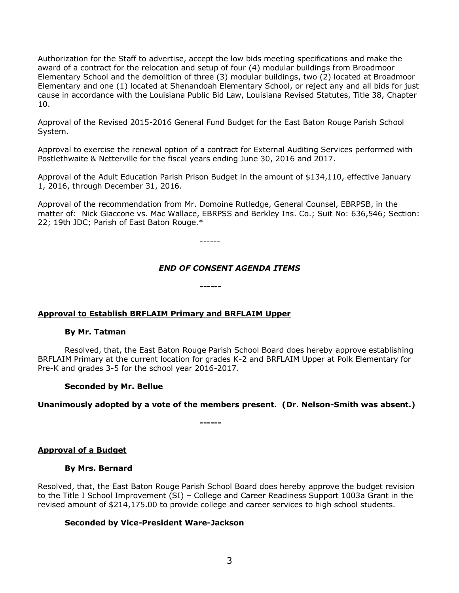Authorization for the Staff to advertise, accept the low bids meeting specifications and make the award of a contract for the relocation and setup of four (4) modular buildings from Broadmoor Elementary School and the demolition of three (3) modular buildings, two (2) located at Broadmoor Elementary and one (1) located at Shenandoah Elementary School, or reject any and all bids for just cause in accordance with the Louisiana Public Bid Law, Louisiana Revised Statutes, Title 38, Chapter 10.

Approval of the Revised 2015-2016 General Fund Budget for the East Baton Rouge Parish School System.

Approval to exercise the renewal option of a contract for External Auditing Services performed with Postlethwaite & Netterville for the fiscal years ending June 30, 2016 and 2017.

Approval of the Adult Education Parish Prison Budget in the amount of \$134,110, effective January 1, 2016, through December 31, 2016.

Approval of the recommendation from Mr. Domoine Rutledge, General Counsel, EBRPSB, in the matter of: Nick Giaccone vs. Mac Wallace, EBRPSS and Berkley Ins. Co.; Suit No: 636,546; Section: 22; 19th JDC; Parish of East Baton Rouge.\*

------

**------**

## *END OF CONSENT AGENDA ITEMS*

#### **Approval to Establish BRFLAIM Primary and BRFLAIM Upper**

#### **By Mr. Tatman**

Resolved, that, the East Baton Rouge Parish School Board does hereby approve establishing BRFLAIM Primary at the current location for grades K-2 and BRFLAIM Upper at Polk Elementary for Pre-K and grades 3-5 for the school year 2016-2017.

#### **Seconded by Mr. Bellue**

#### **Unanimously adopted by a vote of the members present. (Dr. Nelson-Smith was absent.)**

**------**

#### **Approval of a Budget**

#### **By Mrs. Bernard**

Resolved, that, the East Baton Rouge Parish School Board does hereby approve the budget revision to the Title I School Improvement (SI) – College and Career Readiness Support 1003a Grant in the revised amount of \$214,175.00 to provide college and career services to high school students.

#### **Seconded by Vice-President Ware-Jackson**